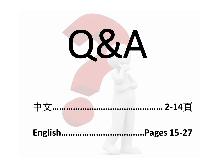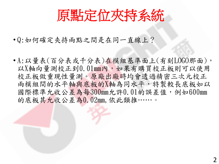原點定位夾持系統

- Q:如何確定夾持兩點之間是在同一直線上?
- A:以量表(百分表或千分表)在模組基準面上(有刻LOGO那面), 以X軸向量測校正到0.01mm內,如果有購買校正板則可以使用 校正板做重現性量測。原廠出廠時均會透過精密三次元校正 兩模組間的水平軸與底板的X軸為同水平,特製較長底板如以 國際標準允收公差為每300mm允許0.01的誤差值,例如600mm 的底板其允收公差為0.02mm,依此類推……。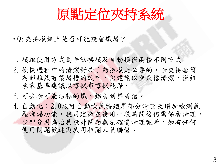

- Q:夾持模組上是否可能殘留鐵屑?
- 1.模組使用方式為手動換模及自動換模兩種不同方式
- 2.換模過程中的清潔對於手動換模是必要的,除夾持套筒 內部雖然有集屑槽的設計,仍建議以空氣槍清潔,模組 承靠基準建議以擦拭布擦拭乾淨。
- 3.可去除可能沾黏的鐵、鋁屑到集屑槽。
- 4.自動化:2.0版可自動吹氣將鐵屑部分清除及增加檢測氣 壓洩漏功能,我司建議在使用一段時間後仍需保養清理, 少部分因為治具設計問題無法確實清理乾淨,如有任何 使用問題歡迎與我司相關人員聯繫。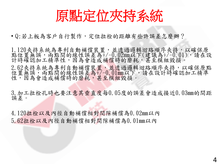

• Q:若上板為客戶自行製作,定位拉栓的距離有些許誤差怎麼辦?

1.120夾持系統為專利自動補償裝置,並透過邏輯迴路順序夾持,以確保原 點位置無誤,兩點間的線性誤差為+/-0.02mm以下(建議為+/-0.01),請在設 計時確認加工精準性,因為會造成補償時的磨耗,甚至模組毀損。

2.62夾持系統為專利自動補償裝置,並透過邏輯迴路順序夾持,以確保原點 位置無誤,兩點間的線性誤差為+/-0.01mm以下,請在設計時確認加工精準 性,因為會造成補償時的磨耗,甚至模組毀損。

3.加工拉栓孔時也要注意其垂直度每0.05度的誤差會造成接近0.03mm的間距 誤差。

4.120拉栓以及內徑自動補償相對間隙補償為0.02mm以內 5.62拉栓以及內徑自動補償相對間隙補償為0.01mm以內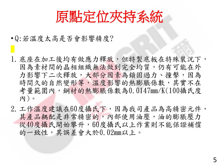原點定位夾持系統

- Q:若溫度太高是否會影響精度?
- 1.底座在加工後均有做應力釋放,但特製底板在特殊裝況下, 因為素材間的晶相組織無法做到完全均質,仍有可能在外 力影響下二次釋放,大部分因素為鎖固過力、撞擊,因為 時間久的自然變形等,溫度影響的熱膨脹係數,其實不在 考量範圍內,鋼材的熱膨脹係數為0.0147mm/K(100攝氏度 內)。
- 2.工作溫度建議在60度攝氏下,因為我司產品為高精密元件, 其產品耦配是非常精密的,內部使用油壓,油的膨脹壓力 從40度攝氏開始攀升,60度攝氏以上作業則不能保證補償 的一致性,其誤差會大於0.02mm以上。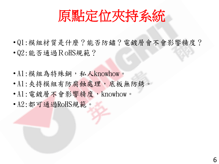

- Q1:模組材質是什麼?能否防鏽?電鍍層會不會影響精度? • Q2:能否通過RoHS規範?
- A1:模組為特殊鋼,私人knowhow。
- A1:夾持模組有防腐蝕處理,底板無防銹。
- A1:電鍍層不會影響精度,knowhow。
- A2:都可通過RoHS規範。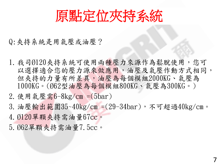

Q:夾持系統是用氣壓或油壓?

- 1. 我司Ø120夾持系統可使用兩種壓力來源作為鬆脫使用,您可 以選擇適合您的壓力源來做應用,油壓及氣壓作動方式相同, 但夾持的力量有所差異,油壓為每個模組2000KG、氣壓為 1000KG。(Ø62型油壓為每個模組800KG、氣壓為300KG。)
- 2.使用氣壓需6-8kg/cm =(5bar)
- 3.油壓輸出範圍35~40kg/cm =(29-34bar),不可超過40kg/cm。
- 4. Ø120單顆夾持需油量67cc。
- 5. Ø62單顆夾持需油量7.5cc。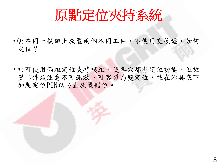

- Q:在同一模組上放置兩個不同工件,不使用交換盤,如何 定位?
- A:可使用兩組定位夾持模組,使各穴都有定位功能,但放 置工件須注意不可錯放。可客製為雙定位,並在治具底下 加裝定位PIN以防止放置錯位。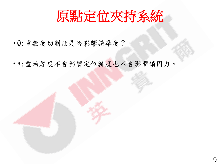

- Q:重黏度切削油是否影響精準度?
- A:重油厚度不會影響定位精度也不會影響鎖固力。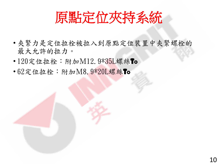

- 夾緊力是定位拉栓被拉入到原點定位裝置中夾緊螺栓的 最大允許的拉力。
- 120定位拉栓: 附加M12.9\*35L螺絲To
- 62定位拉栓:附加M8.9\*20L螺絲To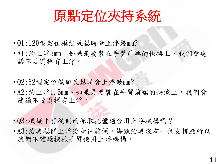

- Q1:120型定位模組放鬆時會上浮幾mm?
- A1:約上浮3mm。如果是要裝在手臂前端的快換上,我們會建 議不要選擇有上浮。
- Q2:62型定位模組放鬆時會上浮幾mm?
- · A2: 約上浮1.5mm。如果是要裝在手臂前端的快換上,我們會 建議不要選擇有上浮。
- Q3:機械手臂從側面抓取托盤適合用上浮機構嗎?
- A3:治具鬆開上浮後會往前傾,導致治具沒有一個支撐點所以 我們不建議機械手臂使用上浮機構。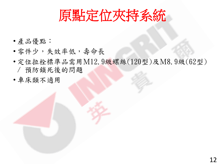

- 產品優點:
- 零件少,失效率低,壽命長
- 定位拉栓標準品需用M12.9級螺絲(120型)及M8.9級(62型) / 預防鎖死後的問題
- 車床類不適用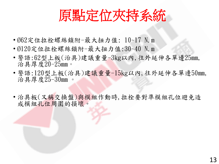

- Ø62定位拉栓螺絲鎖附-最大扭力值: 10~17 N.m
- Ø120定位拉栓螺絲鎖附-最大扭力值:30~40 N.m
- 警語:62型上板(治具)建議重量-3kg以內,往外延伸各單邊25mm, 治具厚度20-25mm。
- 警語:120型上板(治具)建議重量-15kg以內,往外延伸各單邊50mm, 治具厚度25-30mm 。
- 治具板(又稱交換盤)與模組作動時,拉栓要對準模組孔位避免造 成模組孔位周圍的損壞。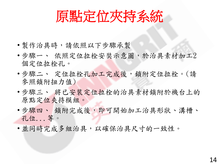原點定位夾持系統

- 製作治具時,請依照以下步驟承製
- 步驟一、 依照定位拉栓安奘示意圖,於治具素材加工2 個定位拉栓孔。
- 步驟二、 定位拉栓孔加工完成後,鎖附定位拉栓。(請 參照鎖附扭力值)
- 步驟三、 將已安裝定位拉栓的治具素材鎖附於機台上的 原點定位夾持模組。
- 步驟四、 鎖附完成後,即可開始加工治具形狀、溝槽、 孔位...等。
- 並同時完成多組治具,以確保治具尺寸的一致性。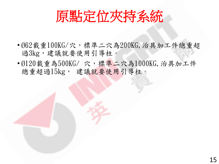原點定位夾持系統

- Ø62載重100KG/穴,標準二穴為200KG,治具加工件總重超 過3kg,建議就要使用引導柱。
- Ø120載重為500KG/穴,標準二穴為1000KG, 治具加工件 總重超過15kg, 建議就要使用引導柱。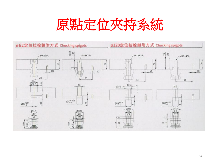

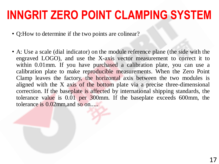- Q: How to determine if the two points are colinear?
- A: Use a scale (dial indicator) on the module reference plane (the side with the engraved LOGO), and use the X-axis vector measurement to correct it to within 0.01mm. If you have purchased a calibration plate, you can use a calibration plate to make reproducible measurements. When the Zero Point Clamp leaves the factory, the horizontal axis between the two modules is aligned with the X axis of the bottom plate via a precise three-dimensional correction. If the baseplate is affected by international shipping standards, the tolerance value is 0.01 per 300mm. If the baseplate exceeds 600mm, the tolerance is 0.02mm, and so on.....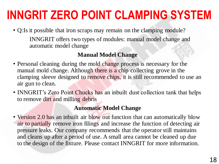• Q:Is it possible that iron scraps may remain on the clamping module? INNGRIT offers two types of modules: manual model change and automatic model change

#### **Manual Model Change**

- Personal cleaning during the mold change process is necessary for the manual mold change. Although there is a chip collecting grove in the clamping sleeve designed to remove chips, it is still recommended to use an air gun to clean.
- INNGRIT's Zero Point Chucks has an inbuilt dust collection tank that helps to remove dirt and milling debris

#### **Automatic Model Change**

• Version 2.0 has an inbuilt air blow out function that can automatically blow air to partially remove iron filings and increase the function of detecting air pressure leaks. Our company recommends that the operator still maintains and cleans up after a period of use. A small area cannot be cleaned up due to the design of the fixture. Please contact INNGRIT for more information.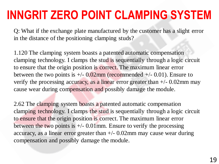Q: What if the exchange plate manufactured by the customer has a slight error in the distance of the positioning clamping studs?

1.120 The clamping system boasts a patented automatic compensation clamping technology. I clamps the stud is sequentially through a logic circuit to ensure that the origin position is correct. The maximum linear error between the two points is  $+/- 0.02$ mm (recommended  $+/- 0.01$ ). Ensure to verify the processing accuracy, as a linear error greater than  $+/- 0.02$ mm may cause wear during compensation and possibly damage the module.

2.62 The clamping system boasts a patented automatic compensation clamping technology. I clamps the stud is sequentially through a logic circuit to ensure that the origin position is correct. The maximum linear error between the two points is  $+\prime$ - 0.01 mm. Ensure to verify the processing accuracy, as a linear error greater than  $+/- 0.02$ mm may cause wear during compensation and possibly damage the module.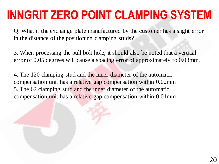Q: What if the exchange plate manufactured by the customer has a slight error in the distance of the positioning clamping studs?

3. When processing the pull bolt hole, it should also be noted that a vertical error of 0.05 degrees will cause a spacing error of approximately to 0.03mm.

4. The 120 clamping stud and the inner diameter of the automatic compensation unit has a relative gap compensation within 0.02mm 5. The 62 clamping stud and the inner diameter of the automatic compensation unit has a relative gap compensation within 0.01mm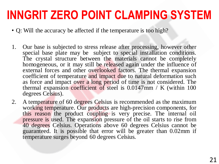- Q: Will the accuracy be affected if the temperature is too high?
- 1. Our base is subjected to stress release after processing, however other special base plate may be subject to special installation conditions. The crystal structure between the materials cannot be completely homogeneous, or it may still be released again under the influence of external forces and other overlooked factors. The thermal expansion coefficient of temperature and impact due to natural deformation such as force and impact over a long period of time is not considered. The thermal expansion coefficient of steel is 0.0147mm / K (within 100 degrees Celsius).
- 2. A temperature of 60 degrees Celsius is recommended as the maximum working temperature. Our products are high-precision components, for this reason the product coupling is very precise. The internal oil pressure is used. The expansion pressure of the oil starts to rise from 40 degrees Celsius. Operations above 60 degrees Celsius cannot be guaranteed. It is possible that error will be greater than 0.02mm if temperature surges beyond 60 degrees Celsius.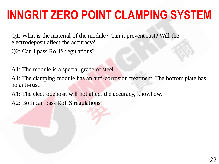Q1: What is the material of the module? Can it prevent rust? Will the electrodeposit affect the accuracy?

- Q2: Can I pass RoHS regulations?
- A1: The module is a special grade of steel

A1: The clamping module has an anti-corrosion treatment. The bottom plate has no anti-rust.

A1: The electrodeposit will not affect the accuracy, knowhow.

A2: Both can pass RoHS regulations.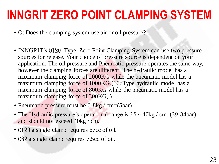- Q: Does the clamping system use air or oil pressure?
- INNGRIT's Ø120 Type Zero Point Clamping System can use two pressure sources for release. Your choice of pressure source is dependent on your application. The oil pressure and Pneumatic pressure operates the same way, however the clamping forces are different. The hydraulic model has a maximum clamping force of 2000KG while the pneumatic model has a maximum clamping force of 1000KG.(Ø62Type hydraulic model has a maximum clamping force of 800KG while the pneumatic model has a maximum clamping force of 300KG.)
- Pneumatic pressure must be 6-8kg / cm=(5bar)
- The Hydraulic pressure's operational range is  $35 \sim 40 \text{kg / cm} = (29-34 \text{bar})$ , and should not exceed 40kg / cm.
- Ø120 a single clamp requires 67cc of oil.
- 062 a single clamp requires 7.5cc of oil.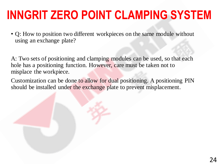• Q: How to position two different workpieces on the same module without using an exchange plate?

A: Two sets of positioning and clamping modules can be used, so that each hole has a positioning function. However, care must be taken not to misplace the workpiece.

Customization can be done to allow for dual positioning. A positioning PIN should be installed under the exchange plate to prevent misplacement.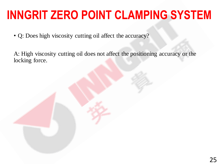- Q: Does high viscosity cutting oil affect the accuracy?
- A: High viscosity cutting oil does not affect the positioning accuracy or the locking force.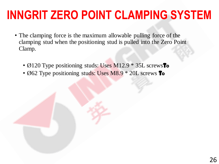- The clamping force is the maximum allowable pulling force of the clamping stud when the positioning stud is pulled into the Zero Point Clamp.
	- $\emptyset$  120 Type positioning studs: Uses M12.9  $*$  35L screws **To**
	- $\emptyset$  62 Type positioning studs: Uses M8.9  $*$  20L screws **To**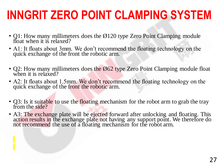- Q1: How many millimeters does the Ø 120 type Zero Point Clamping module float when it is relaxed?
- A1: It floats about 3mm. We don't recommend the floating technology on the quick exchange of the front the robotic arm.
- Q2: How many millimeters does the  $\emptyset$  62 type Zero Point Clamping module float when it is relaxed?
- A2: It floats about 1.5mm. We don't recommend the floating technology on the quick exchange of the front the robotic arm.
- Q3: Is it suitable to use the floating mechanism for the robot arm to grab the tray from the side?
- A3: The exchange plate will be ejected forward after unlocking and floating. This action results in the exchange plate not having any support point. We therefore do not recommend the use of a floating mechanism for the robot arm.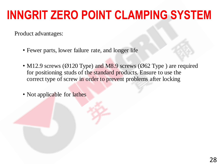Product advantages:

- Fewer parts, lower failure rate, and longer life
- M12.9 screws ( $\emptyset$  120 Type) and M8.9 screws ( $\emptyset$  62 Type) are required for positioning studs of the standard products. Ensure to use the correct type of screw in order to prevent problems after locking

• Not applicable for lathes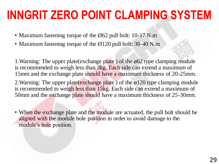- Maximum fastening torque of the  $\emptyset$  62 pull bolt: 10-17 N.m
- Maximum fastening torque of the Ø 120 pull bolt: 30-40 N.m

1. Warning: The upper plate (exchange plate) of the  $\emptyset$ 62 type clamping module is recommended to weigh less than 3kg. Each side can extend a maximum of 15mm and the exchange plate should have a maximum thickness of 20-25mm.

2. Warning: The upper plate (exchange plate) of the ø120 type clamping module is recommended to weigh less than 15kg. Each side can extend a maximum of 50mm and the exchange plate should have a maximum thickness of 25-30mm.

• When the exchange plate and the module are actuated, the pull bolt should be aligned with the module hole position in order to avoid damage to the module's hole position.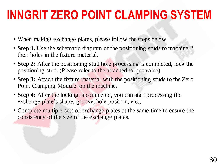- When making exchange plates, please follow the steps below
- **Step 1.** Use the schematic diagram of the positioning studs to machine 2 their holes in the fixture material.
- **Step 2:** After the positioning stud hole processing is completed, lock the positioning stud. (Please refer to the attached torque value)
- **Step 3:** Attach the fixture material with the positioning studs to the Zero Point Clamping Module on the machine.
- **Step 4:** After the locking is completed, you can start processing the exchange plate's shape, groove, hole position, etc.,
- Complete multiple sets of exchange plates at the same time to ensure the consistency of the size of the exchange plates.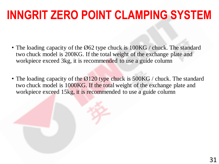- The loading capacity of the Ø 62 type chuck is 100KG / chuck. The standard two chuck model is 200KG. If the total weight of the exchange plate and workpiece exceed 3kg, it is recommended to use a guide column
- The loading capacity of the Ø 120 type chuck is 500KG / chuck. The standard two chuck model is 1000KG. If the total weight of the exchange plate and workpiece exceed 15kg, it is recommended to use a guide column